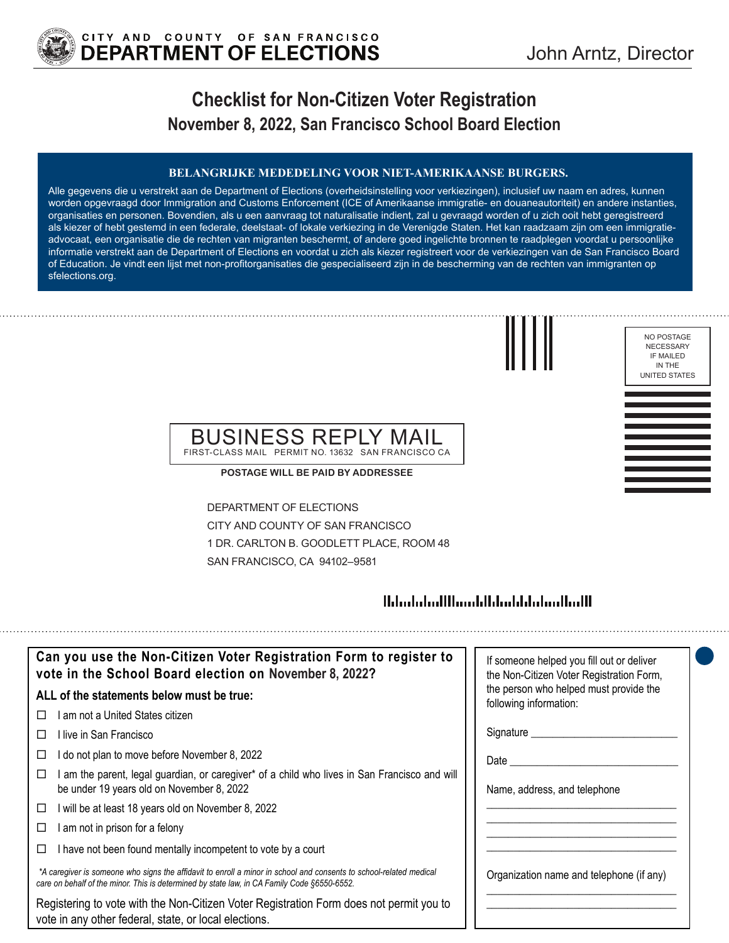

# **Checklist for Non-Citizen Voter Registration November 8, 2022, San Francisco School Board Election**

#### **BELANGRIJKE MEDEDELING VOOR NIET-AMERIKAANSE BURGERS.**

Alle gegevens die u verstrekt aan de Department of Elections (overheidsinstelling voor verkiezingen), inclusief uw naam en adres, kunnen worden opgevraagd door Immigration and Customs Enforcement (ICE of Amerikaanse immigratie- en douaneautoriteit) en andere instanties, organisaties en personen. Bovendien, als u een aanvraag tot naturalisatie indient, zal u gevraagd worden of u zich ooit hebt geregistreerd als kiezer of hebt gestemd in een federale, deelstaat- of lokale verkiezing in de Verenigde Staten. Het kan raadzaam zijn om een immigratieadvocaat, een organisatie die de rechten van migranten beschermt, of andere goed ingelichte bronnen te raadplegen voordat u persoonlijke informatie verstrekt aan de Department of Elections en voordat u zich als kiezer registreert voor de verkiezingen van de San Francisco Board of Education. Je vindt een lijst met non-profitorganisaties die gespecialiseerd zijn in de bescherming van de rechten van immigranten op sfelections.org.

NO POSTAGE NECESSARY IF MAILED IN THE UNITED STATES

## BUSINESS REPLY MAIL FIRST-CLASS MAIL PERMIT NO. 13632 SAN FRANCISCO CA

**POSTAGE WILL BE PAID BY ADDRESSEE**

DEPARTMENT OF ELECTIONS CITY AND COUNTY OF SAN FRANCISCO 1 DR. CARLTON B. GOODLETT PLACE, ROOM 48 SAN FRANCISCO, CA 94102–9581

## 

| Can you use the Non-Citizen Voter Registration Form to register to<br>vote in the School Board election on November 8, 2022?                                                                                      | If someone helped you fill out or deliver<br>the Non-Citizen Voter Registration Form, |
|-------------------------------------------------------------------------------------------------------------------------------------------------------------------------------------------------------------------|---------------------------------------------------------------------------------------|
| ALL of the statements below must be true:                                                                                                                                                                         | the person who helped must provide the<br>following information:                      |
| am not a United States citizen                                                                                                                                                                                    |                                                                                       |
| ⊟live in San Francisco                                                                                                                                                                                            | Signature _____                                                                       |
| do not plan to move before November 8, 2022                                                                                                                                                                       | Date                                                                                  |
| am the parent, legal guardian, or caregiver* of a child who lives in San Francisco and will<br>⊔<br>be under 19 years old on November 8, 2022                                                                     | Name, address, and telephone                                                          |
| will be at least 18 years old on November 8, 2022<br>□                                                                                                                                                            |                                                                                       |
| am not in prison for a felony                                                                                                                                                                                     |                                                                                       |
| I have not been found mentally incompetent to vote by a court                                                                                                                                                     |                                                                                       |
| *A caregiver is someone who signs the affidavit to enroll a minor in school and consents to school-related medical<br>care on behalf of the minor. This is determined by state law, in CA Family Code §6550-6552. | Organization name and telephone (if any)                                              |
| Registering to vote with the Non-Citizen Voter Registration Form does not permit you to<br>vote in any other federal, state, or local elections.                                                                  |                                                                                       |